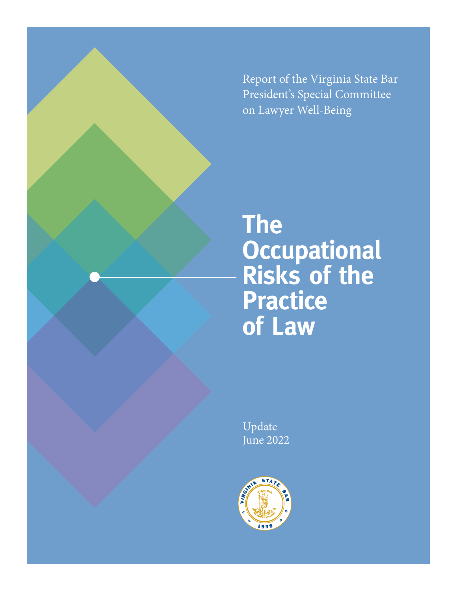Report of the Virginia State Bar President's Special Committee on Lawyer Well-Being

# **The Occupational Risks of the Practice of Law**

Update June 2022

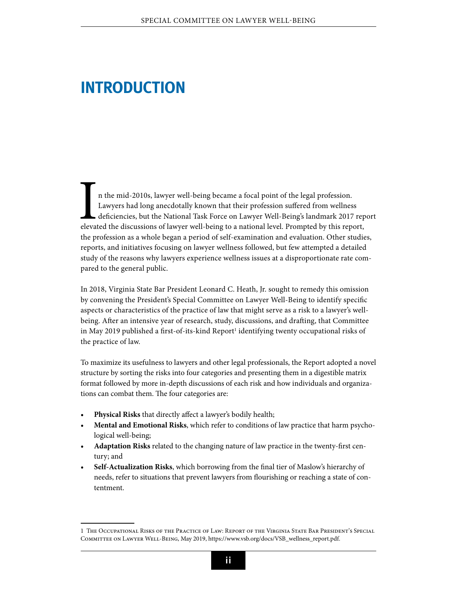### **Introduction**

In the mid-2010s, lawyer well-being became a focal point of the legal profession.<br>Lawyers had long anecdotally known that their profession suffered from wellness<br>deficiencies, but the National Task Force on Lawyer Well-Bei n the mid-2010s, lawyer well-being became a focal point of the legal profession. Lawyers had long anecdotally known that their profession suffered from wellness deficiencies, but the National Task Force on Lawyer Well-Being's landmark 2017 report the profession as a whole began a period of self-examination and evaluation. Other studies, reports, and initiatives focusing on lawyer wellness followed, but few attempted a detailed study of the reasons why lawyers experience wellness issues at a disproportionate rate compared to the general public.

In 2018, Virginia State Bar President Leonard C. Heath, Jr. sought to remedy this omission by convening the President's Special Committee on Lawyer Well-Being to identify specific aspects or characteristics of the practice of law that might serve as a risk to a lawyer's wellbeing. After an intensive year of research, study, discussions, and drafting, that Committee in May 2019 published a first-of-its-kind Report<sup>1</sup> identifying twenty occupational risks of the practice of law.

To maximize its usefulness to lawyers and other legal professionals, the Report adopted a novel structure by sorting the risks into four categories and presenting them in a digestible matrix format followed by more in-depth discussions of each risk and how individuals and organizations can combat them. The four categories are:

- Physical Risks that directly affect a lawyer's bodily health;
- **• Mental and Emotional Risks**, which refer to conditions of law practice that harm psychological well-being;
- **• Adaptation Risks** related to the changing nature of law practice in the twenty-first century; and
- Self-Actualization Risks, which borrowing from the final tier of Maslow's hierarchy of needs, refer to situations that prevent lawyers from flourishing or reaching a state of contentment.

<sup>1</sup> The Occupational Risks of the Practice of Law: Report of the Virginia State Bar President's Special Committee on Lawyer Well-Being, May 2019, [https://www.vsb.org/docs/VSB\\_wellness\\_report.pdf](https://www.vsb.org/docs/VSB_wellness_report.pdf).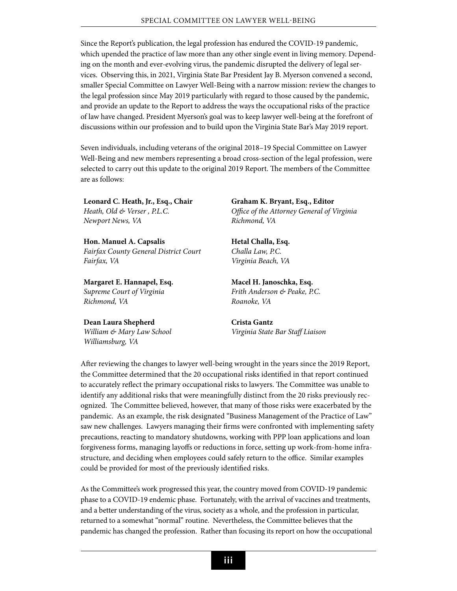Since the Report's publication, the legal profession has endured the COVID-19 pandemic, which upended the practice of law more than any other single event in living memory. Depending on the month and ever-evolving virus, the pandemic disrupted the delivery of legal services. Observing this, in 2021, Virginia State Bar President Jay B. Myerson convened a second, smaller Special Committee on Lawyer Well-Being with a narrow mission: review the changes to the legal profession since May 2019 particularly with regard to those caused by the pandemic, and provide an update to the Report to address the ways the occupational risks of the practice of law have changed. President Myerson's goal was to keep lawyer well-being at the forefront of discussions within our profession and to build upon the Virginia State Bar's May 2019 report.

Seven individuals, including veterans of the original 2018–19 Special Committee on Lawyer Well-Being and new members representing a broad cross-section of the legal profession, were selected to carry out this update to the original 2019 Report. The members of the Committee are as follows:

**Leonard C. Heath, Jr., Esq., Chair** *Heath, Old & Verser , P.L.C. Newport News, VA*

**Hon. Manuel A. Capsalis** *Fairfax County General District Court Fairfax, VA*

**Margaret E. Hannapel, Esq.** *Supreme Court of Virginia Richmond, VA*

**Dean Laura Shepherd** *William & Mary Law School Williamsburg, VA*

**Graham K. Bryant, Esq., Editor** *Office of the Attorney General of Virginia Richmond, VA*

**Hetal Challa, Esq.** *Challa Law, P.C. Virginia Beach, VA*

**Macel H. Janoschka, Esq.** *Frith Anderson & Peake, P.C. Roanoke, VA*

**Crista Gantz** *Virginia State Bar Staff Liaison*

After reviewing the changes to lawyer well-being wrought in the years since the 2019 Report, the Committee determined that the 20 occupational risks identified in that report continued to accurately reflect the primary occupational risks to lawyers. The Committee was unable to identify any additional risks that were meaningfully distinct from the 20 risks previously recognized. The Committee believed, however, that many of those risks were exacerbated by the pandemic. As an example, the risk designated "Business Management of the Practice of Law" saw new challenges. Lawyers managing their firms were confronted with implementing safety precautions, reacting to mandatory shutdowns, working with PPP loan applications and loan forgiveness forms, managing layoffs or reductions in force, setting up work-from-home infrastructure, and deciding when employees could safely return to the office. Similar examples could be provided for most of the previously identified risks.

As the Committee's work progressed this year, the country moved from COVID-19 pandemic phase to a COVID-19 endemic phase. Fortunately, with the arrival of vaccines and treatments, and a better understanding of the virus, society as a whole, and the profession in particular, returned to a somewhat "normal" routine. Nevertheless, the Committee believes that the pandemic has changed the profession. Rather than focusing its report on how the occupational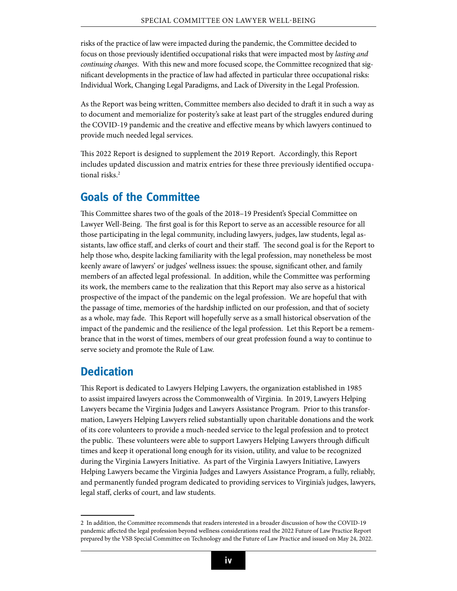risks of the practice of law were impacted during the pandemic, the Committee decided to focus on those previously identified occupational risks that were impacted most by *lasting and continuing changes*. With this new and more focused scope, the Committee recognized that significant developments in the practice of law had affected in particular three occupational risks: Individual Work, Changing Legal Paradigms, and Lack of Diversity in the Legal Profession.

As the Report was being written, Committee members also decided to draft it in such a way as to document and memorialize for posterity's sake at least part of the struggles endured during the COVID-19 pandemic and the creative and effective means by which lawyers continued to provide much needed legal services.

This 2022 Report is designed to supplement the 2019 Report. Accordingly, this Report includes updated discussion and matrix entries for these three previously identified occupational risks.<sup>2</sup>

#### **Goals of the Committee**

This Committee shares two of the goals of the 2018–19 President's Special Committee on Lawyer Well-Being. The first goal is for this Report to serve as an accessible resource for all those participating in the legal community, including lawyers, judges, law students, legal assistants, law office staff, and clerks of court and their staff. The second goal is for the Report to help those who, despite lacking familiarity with the legal profession, may nonetheless be most keenly aware of lawyers' or judges' wellness issues: the spouse, significant other, and family members of an affected legal professional. In addition, while the Committee was performing its work, the members came to the realization that this Report may also serve as a historical prospective of the impact of the pandemic on the legal profession. We are hopeful that with the passage of time, memories of the hardship inflicted on our profession, and that of society as a whole, may fade. This Report will hopefully serve as a small historical observation of the impact of the pandemic and the resilience of the legal profession. Let this Report be a remembrance that in the worst of times, members of our great profession found a way to continue to serve society and promote the Rule of Law.

#### **Dedication**

This Report is dedicated to Lawyers Helping Lawyers, the organization established in 1985 to assist impaired lawyers across the Commonwealth of Virginia. In 2019, Lawyers Helping Lawyers became the Virginia Judges and Lawyers Assistance Program. Prior to this transformation, Lawyers Helping Lawyers relied substantially upon charitable donations and the work of its core volunteers to provide a much-needed service to the legal profession and to protect the public. These volunteers were able to support Lawyers Helping Lawyers through difficult times and keep it operational long enough for its vision, utility, and value to be recognized during the Virginia Lawyers Initiative. As part of the Virginia Lawyers Initiative, Lawyers Helping Lawyers became the Virginia Judges and Lawyers Assistance Program, a fully, reliably, and permanently funded program dedicated to providing services to Virginia's judges, lawyers, legal staff, clerks of court, and law students.

<sup>2</sup> In addition, the Committee recommends that readers interested in a broader discussion of how the COVID-19 pandemic affected the legal profession beyond wellness considerations read the [2022 Future of Law Practice Report](https://www.vsb.org/docs/2022_VSB_Future_Law_Report.pdf) prepared by the VSB Special Committee on Technology and the Future of Law Practice and issued on May 24, 2022.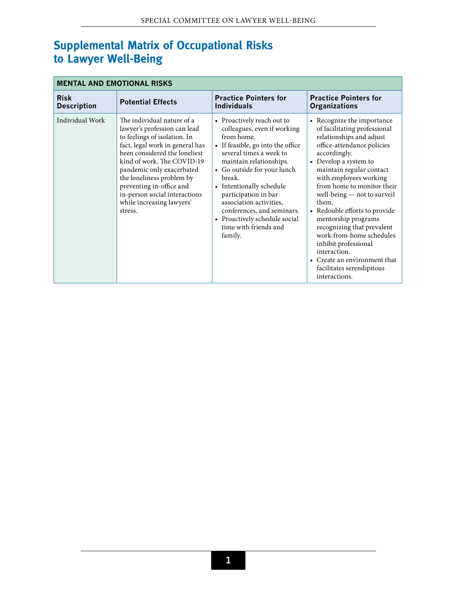### **Supplemental Matrix of Occupational Risks to Lawyer Well-Being**

| <b>MENTAL AND EMOTIONAL RISKS</b> |                                                                                                                                                                                                                                                                                                                                                             |                                                                                                                                                                                                                                                                                                                                                                                               |                                                                                                                                                                                                                                                                                                                                                                                                                                                                                                                                                         |  |  |  |
|-----------------------------------|-------------------------------------------------------------------------------------------------------------------------------------------------------------------------------------------------------------------------------------------------------------------------------------------------------------------------------------------------------------|-----------------------------------------------------------------------------------------------------------------------------------------------------------------------------------------------------------------------------------------------------------------------------------------------------------------------------------------------------------------------------------------------|---------------------------------------------------------------------------------------------------------------------------------------------------------------------------------------------------------------------------------------------------------------------------------------------------------------------------------------------------------------------------------------------------------------------------------------------------------------------------------------------------------------------------------------------------------|--|--|--|
| <b>Risk</b><br><b>Description</b> | <b>Potential Effects</b>                                                                                                                                                                                                                                                                                                                                    | <b>Practice Pointers for</b><br><b>Individuals</b>                                                                                                                                                                                                                                                                                                                                            | <b>Practice Pointers for</b><br><b>Organizations</b>                                                                                                                                                                                                                                                                                                                                                                                                                                                                                                    |  |  |  |
| Individual Work                   | The individual nature of a<br>lawyer's profession can lead<br>to feelings of isolation. In<br>fact, legal work in general has<br>been considered the loneliest<br>kind of work. The COVID-19<br>pandemic only exacerbated<br>the loneliness problem by<br>preventing in-office and<br>in-person social interactions<br>while increasing lawyers'<br>stress. | • Proactively reach out to<br>colleagues, even if working<br>from home.<br>• If feasible, go into the office<br>several times a week to<br>maintain relationships.<br>• Go outside for your lunch<br>break.<br>• Intentionally schedule<br>participation in bar<br>association activities,<br>conferences, and seminars.<br>• Proactively schedule social<br>time with friends and<br>family. | • Recognize the importance<br>of facilitating professional<br>relationships and adjust<br>office-attendance policies<br>accordingly.<br>Develop a system to<br>$\bullet$<br>maintain regular contact<br>with employees working<br>from home to monitor their<br>well-being — not to surveil<br>them.<br>Redouble efforts to provide<br>$\bullet$<br>mentorship programs<br>recognizing that prevalent<br>work-from-home schedules<br>inhibit professional<br>interaction.<br>• Create an environment that<br>facilitates serendipitous<br>interactions. |  |  |  |

#### **1**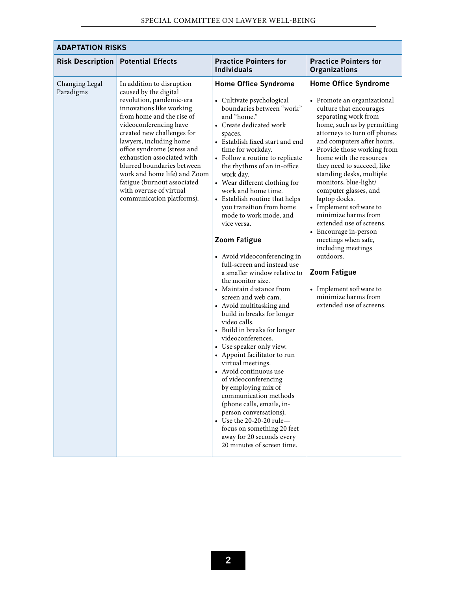| <b>ADAPTATION RISKS</b>     |                                                                                                                                                                                                                                                                                                                                                                                                                                              |                                                                                                                                                                                                                                                                                                                                                                                                                                                                                                                                                                                                                                                                                                                                                                                                                                                                                                                                                                                                                                                                                                                                              |                                                                                                                                                                                                                                                                                                                                                                                                                                                                                                                                                                                                                                                                          |  |  |  |
|-----------------------------|----------------------------------------------------------------------------------------------------------------------------------------------------------------------------------------------------------------------------------------------------------------------------------------------------------------------------------------------------------------------------------------------------------------------------------------------|----------------------------------------------------------------------------------------------------------------------------------------------------------------------------------------------------------------------------------------------------------------------------------------------------------------------------------------------------------------------------------------------------------------------------------------------------------------------------------------------------------------------------------------------------------------------------------------------------------------------------------------------------------------------------------------------------------------------------------------------------------------------------------------------------------------------------------------------------------------------------------------------------------------------------------------------------------------------------------------------------------------------------------------------------------------------------------------------------------------------------------------------|--------------------------------------------------------------------------------------------------------------------------------------------------------------------------------------------------------------------------------------------------------------------------------------------------------------------------------------------------------------------------------------------------------------------------------------------------------------------------------------------------------------------------------------------------------------------------------------------------------------------------------------------------------------------------|--|--|--|
| <b>Risk Description</b>     | <b>Potential Effects</b>                                                                                                                                                                                                                                                                                                                                                                                                                     | <b>Practice Pointers for</b><br><b>Individuals</b>                                                                                                                                                                                                                                                                                                                                                                                                                                                                                                                                                                                                                                                                                                                                                                                                                                                                                                                                                                                                                                                                                           | <b>Practice Pointers for</b><br><b>Organizations</b>                                                                                                                                                                                                                                                                                                                                                                                                                                                                                                                                                                                                                     |  |  |  |
| Changing Legal<br>Paradigms | In addition to disruption<br>caused by the digital<br>revolution, pandemic-era<br>innovations like working<br>from home and the rise of<br>videoconferencing have<br>created new challenges for<br>lawyers, including home<br>office syndrome (stress and<br>exhaustion associated with<br>blurred boundaries between<br>work and home life) and Zoom<br>fatigue (burnout associated<br>with overuse of virtual<br>communication platforms). | <b>Home Office Syndrome</b><br>• Cultivate psychological<br>boundaries between "work"<br>and "home."<br>• Create dedicated work<br>spaces.<br>• Establish fixed start and end<br>time for workday.<br>• Follow a routine to replicate<br>the rhythms of an in-office<br>work day.<br>• Wear different clothing for<br>work and home time.<br>• Establish routine that helps<br>you transition from home<br>mode to work mode, and<br>vice versa.<br><b>Zoom Fatigue</b><br>• Avoid videoconferencing in<br>full-screen and instead use<br>a smaller window relative to<br>the monitor size.<br>• Maintain distance from<br>screen and web cam.<br>• Avoid multitasking and<br>build in breaks for longer<br>video calls.<br>• Build in breaks for longer<br>videoconferences.<br>• Use speaker only view.<br>• Appoint facilitator to run<br>virtual meetings.<br>• Avoid continuous use<br>of videoconferencing<br>by employing mix of<br>communication methods<br>(phone calls, emails, in-<br>person conversations).<br>• Use the 20-20-20 rule-<br>focus on something 20 feet<br>away for 20 seconds every<br>20 minutes of screen time. | <b>Home Office Syndrome</b><br>• Promote an organizational<br>culture that encourages<br>separating work from<br>home, such as by permitting<br>attorneys to turn off phones<br>and computers after hours.<br>• Provide those working from<br>home with the resources<br>they need to succeed, like<br>standing desks, multiple<br>monitors, blue-light/<br>computer glasses, and<br>laptop docks.<br>• Implement software to<br>minimize harms from<br>extended use of screens.<br>• Encourage in-person<br>meetings when safe,<br>including meetings<br>outdoors.<br><b>Zoom Fatigue</b><br>• Implement software to<br>minimize harms from<br>extended use of screens. |  |  |  |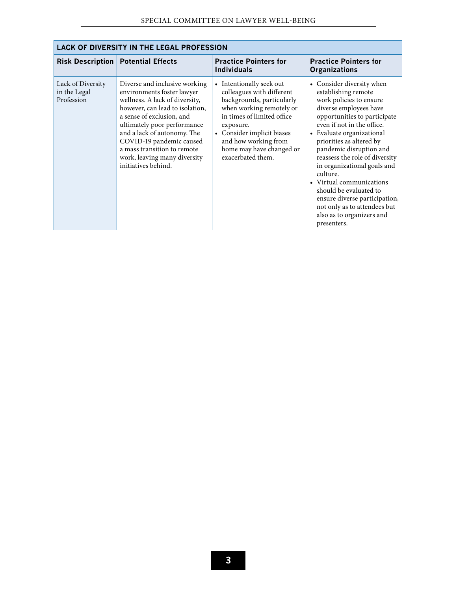| LACK OF DIVERSITY IN THE LEGAL PROFESSION       |                                                                                                                                                                                                                                                                                                                                               |                                                                                                                                                                                                                                                                  |                                                                                                                                                                                                                                                                                                                                                                                                                                                                                                                    |  |  |  |  |
|-------------------------------------------------|-----------------------------------------------------------------------------------------------------------------------------------------------------------------------------------------------------------------------------------------------------------------------------------------------------------------------------------------------|------------------------------------------------------------------------------------------------------------------------------------------------------------------------------------------------------------------------------------------------------------------|--------------------------------------------------------------------------------------------------------------------------------------------------------------------------------------------------------------------------------------------------------------------------------------------------------------------------------------------------------------------------------------------------------------------------------------------------------------------------------------------------------------------|--|--|--|--|
| <b>Risk Description</b>                         | <b>Potential Effects</b>                                                                                                                                                                                                                                                                                                                      | <b>Practice Pointers for</b><br><b>Individuals</b>                                                                                                                                                                                                               | <b>Practice Pointers for</b><br><b>Organizations</b>                                                                                                                                                                                                                                                                                                                                                                                                                                                               |  |  |  |  |
| Lack of Diversity<br>in the Legal<br>Profession | Diverse and inclusive working<br>environments foster lawyer<br>wellness. A lack of diversity,<br>however, can lead to isolation,<br>a sense of exclusion, and<br>ultimately poor performance<br>and a lack of autonomy. The<br>COVID-19 pandemic caused<br>a mass transition to remote<br>work, leaving many diversity<br>initiatives behind. | • Intentionally seek out<br>colleagues with different<br>backgrounds, particularly<br>when working remotely or<br>in times of limited office<br>exposure.<br>• Consider implicit biases<br>and how working from<br>home may have changed or<br>exacerbated them. | Consider diversity when<br>$\bullet$<br>establishing remote<br>work policies to ensure<br>diverse employees have<br>opportunities to participate<br>even if not in the office.<br>• Evaluate organizational<br>priorities as altered by<br>pandemic disruption and<br>reassess the role of diversity<br>in organizational goals and<br>culture.<br>• Virtual communications<br>should be evaluated to<br>ensure diverse participation,<br>not only as to attendees but<br>also as to organizers and<br>presenters. |  |  |  |  |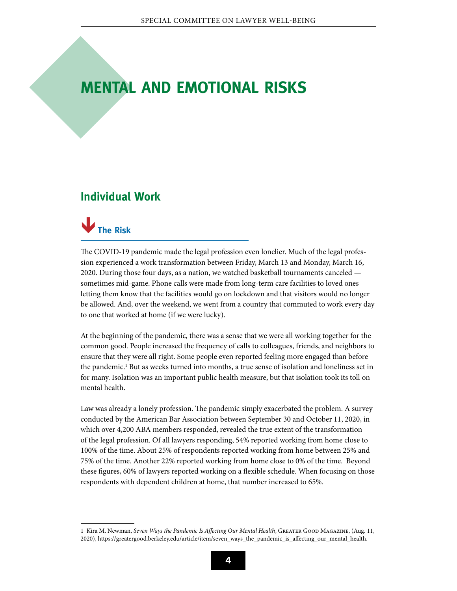### <span id="page-7-0"></span>**Mental and Emotional Risks**

#### **Individual Work**



The COVID-19 pandemic made the legal profession even lonelier. Much of the legal profession experienced a work transformation between Friday, March 13 and Monday, March 16, 2020. During those four days, as a nation, we watched basketball tournaments canceled sometimes mid-game. Phone calls were made from long-term care facilities to loved ones letting them know that the facilities would go on lockdown and that visitors would no longer be allowed. And, over the weekend, we went from a country that commuted to work every day to one that worked at home (if we were lucky).

At the beginning of the pandemic, there was a sense that we were all working together for the common good. People increased the frequency of calls to colleagues, friends, and neighbors to ensure that they were all right. Some people even reported feeling more engaged than before the pandemic.<sup>1</sup> But as weeks turned into months, a true sense of isolation and loneliness set in for many. Isolation was an important public health measure, but that isolation took its toll on mental health.

Law was already a lonely profession. The pandemic simply exacerbated the problem. A survey conducted by the American Bar Association between September 30 and October 11, 2020, in which over 4,200 ABA members responded, revealed the true extent of the transformation of the legal profession. Of all lawyers responding, 54% reported working from home close to 100% of the time. About 25% of respondents reported working from home between 25% and 75% of the time. Another 22% reported working from home close to 0% of the time. Beyond these figures, 60% of lawyers reported working on a flexible schedule. When focusing on those respondents with dependent children at home, that number increased to 65%.

<sup>1</sup> Kira M. Newman, *Seven Ways the Pandemic Is Affecting Our Mental Health*, Greater Good Magazine, (Aug. 11, 2020), https://greatergood.berkeley.edu/article/item/seven\_ways\_the\_pandemic\_is\_affecting\_our\_mental\_health.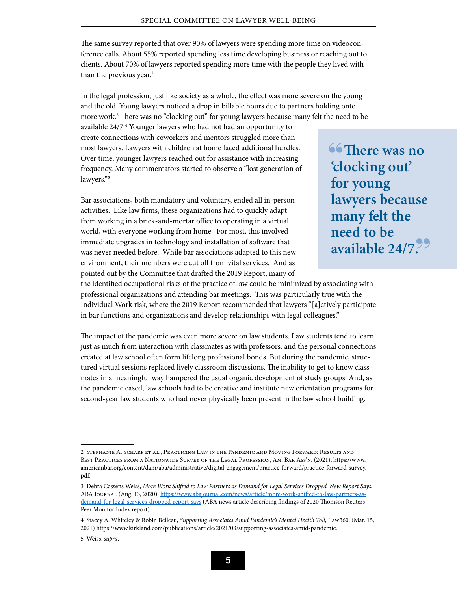The same survey reported that over 90% of lawyers were spending more time on videoconference calls. About 55% reported spending less time developing business or reaching out to clients. About 70% of lawyers reported spending more time with the people they lived with than the previous year.<sup>2</sup>

In the legal profession, just like society as a whole, the effect was more severe on the young and the old. Young lawyers noticed a drop in billable hours due to partners holding onto more work.<sup>3</sup> There was no "clocking out" for young lawyers because many felt the need to be

available 24/7.4 Younger lawyers who had not had an opportunity to create connections with coworkers and mentors struggled more than most lawyers. Lawyers with children at home faced additional hurdles. Over time, younger lawyers reached out for assistance with increasing frequency. Many commentators started to observe a "lost generation of lawyers."5

Bar associations, both mandatory and voluntary, ended all in-person activities. Like law firms, these organizations had to quickly adapt from working in a brick-and-mortar office to operating in a virtual world, with everyone working from home. For most, this involved immediate upgrades in technology and installation of software that was never needed before. While bar associations adapted to this new environment, their members were cut off from vital services. And as pointed out by the Committee that drafted the 2019 Report, many of

**66 There was no 'clocking out' for young lawyers because many felt the need to be available 24/7.**

the identified occupational risks of the practice of law could be minimized by associating with professional organizations and attending bar meetings. This was particularly true with the Individual Work risk, where the 2019 Report recommended that lawyers "[a]ctively participate in bar functions and organizations and develop relationships with legal colleagues."

The impact of the pandemic was even more severe on law students. Law students tend to learn just as much from interaction with classmates as with professors, and the personal connections created at law school often form lifelong professional bonds. But during the pandemic, structured virtual sessions replaced lively classroom discussions. The inability to get to know classmates in a meaningful way hampered the usual organic development of study groups. And, as the pandemic eased, law schools had to be creative and institute new orientation programs for second-year law students who had never physically been present in the law school building.

<sup>2</sup> Stephanie A. Scharf et al., Practicing Law in the Pandemic and Moving Forward: Results and Best Practices from a Nationwide Survey of the Legal Profession, Am. Bar Ass'n. (2021), [https://www.](https://www.americanbar.org/content/dam/aba/administrative/digital-engagement/practice-forward/practice-forward-survey.pdf) [americanbar.org/content/dam/aba/administrative/digital-engagement/practice-forward/practice-forward-survey.](https://www.americanbar.org/content/dam/aba/administrative/digital-engagement/practice-forward/practice-forward-survey.pdf) [pdf](https://www.americanbar.org/content/dam/aba/administrative/digital-engagement/practice-forward/practice-forward-survey.pdf).

<sup>3</sup> Debra Cassens Weiss, *More Work Shifted to Law Partners as Demand for Legal Services Dropped, New Report Says*, ABA Journal (Aug. 13, 2020), [https://www.abajournal.com/news/article/more-work-shifted-to-law-partners-as](https://www.abajournal.com/news/article/more-work-shifted-to-law-partners-as-demand-for-legal-services-dropped-report-says)[demand-for-legal-services-dropped-report-says](https://www.abajournal.com/news/article/more-work-shifted-to-law-partners-as-demand-for-legal-services-dropped-report-says) (ABA news article describing findings of 2020 Thomson Reuters Peer Monitor Index report).

<sup>4</sup> Stacey A. Whiteley & Robin Belleau, *Supporting Associates Amid Pandemic's Mental Health Toll*, Law360, (Mar. 15, 2021)<https://www.kirkland.com/publications/article/2021/03/supporting-associates-amid-pandemic>.

<sup>5</sup> Weiss, *supra*.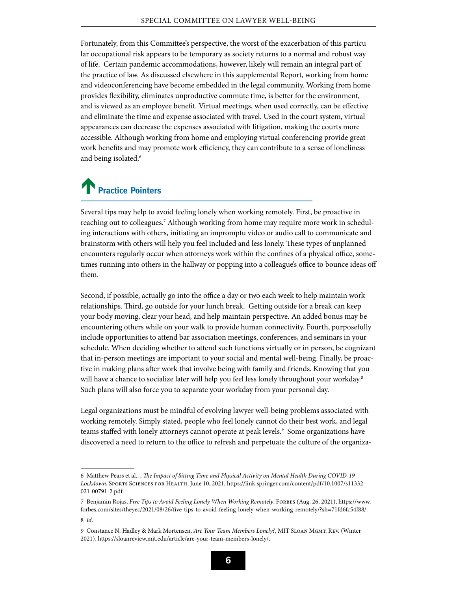Fortunately, from this Committee's perspective, the worst of the exacerbation of this particular occupational risk appears to be temporary as society returns to a normal and robust way of life. Certain pandemic accommodations, however, likely will remain an integral part of the practice of law. As discussed elsewhere in this supplemental Report, working from home and videoconferencing have become embedded in the legal community. Working from home provides flexibility, eliminates unproductive commute time, is better for the environment, and is viewed as an employee benefit. Virtual meetings, when used correctly, can be effective and eliminate the time and expense associated with travel. Used in the court system, virtual appearances can decrease the expenses associated with litigation, making the courts more accessible. Although working from home and employing virtual conferencing provide great work benefits and may promote work efficiency, they can contribute to a sense of loneliness and being isolated.<sup>6</sup>

### **Practice Pointers**

Several tips may help to avoid feeling lonely when working remotely. First, be proactive in reaching out to colleagues.7 Although working from home may require more work in scheduling interactions with others, initiating an impromptu video or audio call to communicate and brainstorm with others will help you feel included and less lonely. These types of unplanned encounters regularly occur when attorneys work within the confines of a physical office, sometimes running into others in the hallway or popping into a colleague's office to bounce ideas off them.

Second, if possible, actually go into the office a day or two each week to help maintain work relationships. Third, go outside for your lunch break. Getting outside for a break can keep your body moving, clear your head, and help maintain perspective. An added bonus may be encountering others while on your walk to provide human connectivity. Fourth, purposefully include opportunities to attend bar association meetings, conferences, and seminars in your schedule. When deciding whether to attend such functions virtually or in person, be cognizant that in-person meetings are important to your social and mental well-being. Finally, be proactive in making plans after work that involve being with family and friends. Knowing that you will have a chance to socialize later will help you feel less lonely throughout your workday.<sup>8</sup> Such plans will also force you to separate your workday from your personal day.

Legal organizations must be mindful of evolving lawyer well-being problems associated with working remotely. Simply stated, people who feel lonely cannot do their best work, and legal teams staffed with lonely attorneys cannot operate at peak levels.<sup>9</sup> Some organizations have discovered a need to return to the office to refresh and perpetuate the culture of the organiza-

<sup>6</sup> Matthew Pears et al., , *The Impact of Sitting Time and Physical Activity on Mental Health During COVID-19 Lockdown*, Sports Sciences for Health, June 10, 2021, [https://link.springer.com/content/pdf/10.1007/s11332-](https://link.springer.com/content/pdf/10.1007/s11332-021-00791-2.pdf) [021-00791-2.pdf](https://link.springer.com/content/pdf/10.1007/s11332-021-00791-2.pdf).

<sup>7</sup> Benjamin Rojas, *Five Tips to Avoid Feeling Lonely When Working Remotely*, FORBES (Aug. 26, 2021), https://www. forbes.com/sites/theyec/2021/08/26/five-tips-to-avoid-feeling-lonely-when-working-remotely/?sh=71fd6fc54f88/.

<sup>8</sup> *Id*.

<sup>9</sup> Constance N. Hadley & Mark Mortensen, *Are Your Team Members Lonely?*, MIT SLOAN MGMT. REV. (Winter 2021),<https://sloanreview.mit.edu/article/are-your-team-members-lonely/>.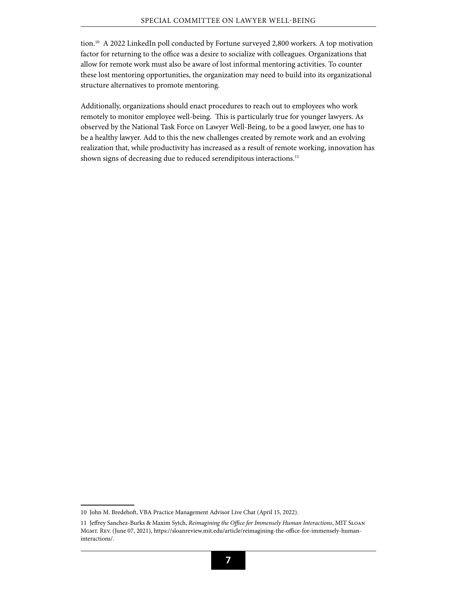tion.10 A 2022 LinkedIn poll conducted by Fortune surveyed 2,800 workers. A top motivation factor for returning to the office was a desire to socialize with colleagues. Organizations that allow for remote work must also be aware of lost informal mentoring activities. To counter these lost mentoring opportunities, the organization may need to build into its organizational structure alternatives to promote mentoring.

Additionally, organizations should enact procedures to reach out to employees who work remotely to monitor employee well-being. This is particularly true for younger lawyers. As observed by the National Task Force on Lawyer Well-Being, to be a good lawyer, one has to be a healthy lawyer. Add to this the new challenges created by remote work and an evolving realization that, while productivity has increased as a result of remote working, innovation has shown signs of decreasing due to reduced serendipitous interactions.<sup>11</sup>

<sup>10</sup> John M. Bredehoft, VBA Practice Management Advisor Live Chat (April 15, 2022).

<sup>11</sup> Jeffrey Sanchez-Burks & Maxim Sytch, *Reimagining the Office for Immensely Human Interactions*, MIT Sloan Mgmt. Rev. (June 07, 2021), [https://sloanreview.mit.edu/article/reimagining-the-office-for-immensely-human](https://sloanreview.mit.edu/article/reimagining-the-office-for-immensely-human-interactions/)[interactions/](https://sloanreview.mit.edu/article/reimagining-the-office-for-immensely-human-interactions/).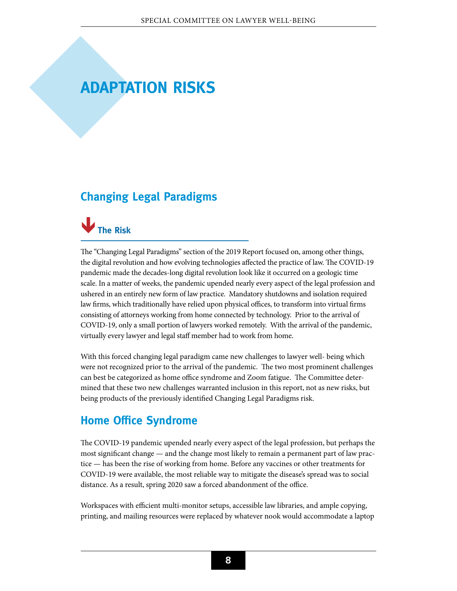### <span id="page-11-0"></span>**Adaptation Risks**

### <span id="page-11-1"></span>**Changing Legal Paradigms**



The "Changing Legal Paradigms" section of the 2019 Report focused on, among other things, the digital revolution and how evolving technologies affected the practice of law. The COVID-19 pandemic made the decades-long digital revolution look like it occurred on a geologic time scale. In a matter of weeks, the pandemic upended nearly every aspect of the legal profession and ushered in an entirely new form of law practice. Mandatory shutdowns and isolation required law firms, which traditionally have relied upon physical offices, to transform into virtual firms consisting of attorneys working from home connected by technology. Prior to the arrival of COVID-19, only a small portion of lawyers worked remotely. With the arrival of the pandemic, virtually every lawyer and legal staff member had to work from home.

With this forced changing legal paradigm came new challenges to lawyer well- being which were not recognized prior to the arrival of the pandemic. The two most prominent challenges can best be categorized as home office syndrome and Zoom fatigue. The Committee determined that these two new challenges warranted inclusion in this report, not as new risks, but being products of the previously identified Changing Legal Paradigms risk.

### **Home Office Syndrome**

The COVID-19 pandemic upended nearly every aspect of the legal profession, but perhaps the most significant change — and the change most likely to remain a permanent part of law practice — has been the rise of working from home. Before any vaccines or other treatments for COVID-19 were available, the most reliable way to mitigate the disease's spread was to social distance. As a result, spring 2020 saw a forced abandonment of the office.

Workspaces with efficient multi-monitor setups, accessible law libraries, and ample copying, printing, and mailing resources were replaced by whatever nook would accommodate a laptop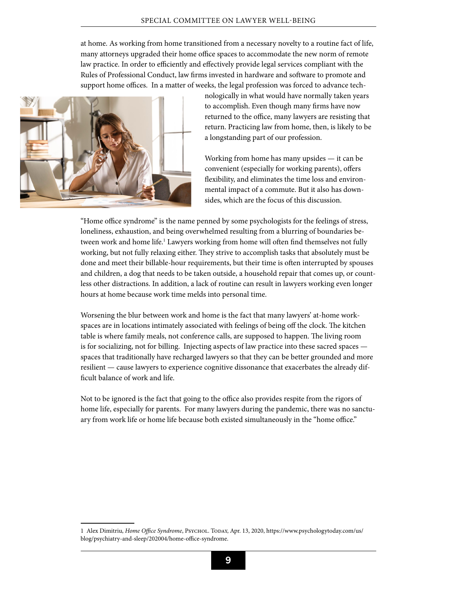at home. As working from home transitioned from a necessary novelty to a routine fact of life, many attorneys upgraded their home office spaces to accommodate the new norm of remote law practice. In order to efficiently and effectively provide legal services compliant with the Rules of Professional Conduct, law firms invested in hardware and software to promote and support home offices. In a matter of weeks, the legal profession was forced to advance tech-



nologically in what would have normally taken years to accomplish. Even though many firms have now returned to the office, many lawyers are resisting that return. Practicing law from home, then, is likely to be a longstanding part of our profession.

Working from home has many upsides — it can be convenient (especially for working parents), offers flexibility, and eliminates the time loss and environmental impact of a commute. But it also has downsides, which are the focus of this discussion.

"Home office syndrome" is the name penned by some psychologists for the feelings of stress, loneliness, exhaustion, and being overwhelmed resulting from a blurring of boundaries between work and home life.<sup>1</sup> Lawyers working from home will often find themselves not fully working, but not fully relaxing either. They strive to accomplish tasks that absolutely must be done and meet their billable-hour requirements, but their time is often interrupted by spouses and children, a dog that needs to be taken outside, a household repair that comes up, or countless other distractions. In addition, a lack of routine can result in lawyers working even longer hours at home because work time melds into personal time.

Worsening the blur between work and home is the fact that many lawyers' at-home workspaces are in locations intimately associated with feelings of being off the clock. The kitchen table is where family meals, not conference calls, are supposed to happen. The living room is for socializing, not for billing. Injecting aspects of law practice into these sacred spaces spaces that traditionally have recharged lawyers so that they can be better grounded and more resilient — cause lawyers to experience cognitive dissonance that exacerbates the already difficult balance of work and life.

Not to be ignored is the fact that going to the office also provides respite from the rigors of home life, especially for parents. For many lawyers during the pandemic, there was no sanctuary from work life or home life because both existed simultaneously in the "home office."

<sup>1</sup> Alex Dimitriu, *Home Office Syndrome*, Psychol. Today, Apr. 13, 2020, https://www.psychologytoday.com/us/ blog/psychiatry-and-sleep/202004/home-office-syndrome.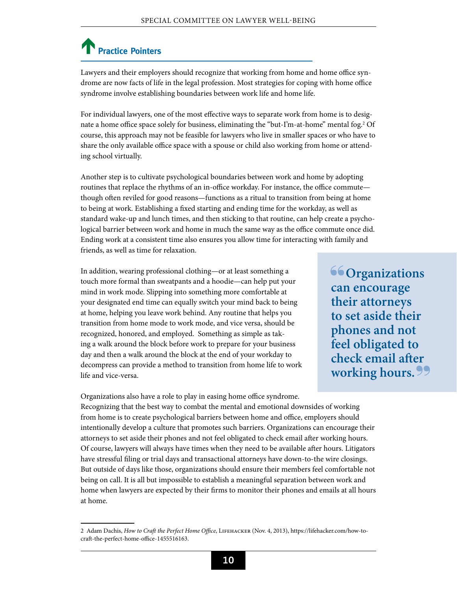### **Practice Pointers**

Lawyers and their employers should recognize that working from home and home office syndrome are now facts of life in the legal profession. Most strategies for coping with home office syndrome involve establishing boundaries between work life and home life.

For individual lawyers, one of the most effective ways to separate work from home is to designate a home office space solely for business, eliminating the "but-I'm-at-home" mental fog.2 Of course, this approach may not be feasible for lawyers who live in smaller spaces or who have to share the only available office space with a spouse or child also working from home or attending school virtually.

Another step is to cultivate psychological boundaries between work and home by adopting routines that replace the rhythms of an in-office workday. For instance, the office commute though often reviled for good reasons—functions as a ritual to transition from being at home to being at work. Establishing a fixed starting and ending time for the workday, as well as standard wake-up and lunch times, and then sticking to that routine, can help create a psychological barrier between work and home in much the same way as the office commute once did. Ending work at a consistent time also ensures you allow time for interacting with family and friends, as well as time for relaxation.

In addition, wearing professional clothing—or at least something a touch more formal than sweatpants and a hoodie—can help put your mind in work mode. Slipping into something more comfortable at your designated end time can equally switch your mind back to being at home, helping you leave work behind. Any routine that helps you transition from home mode to work mode, and vice versa, should be recognized, honored, and employed. Something as simple as taking a walk around the block before work to prepare for your business day and then a walk around the block at the end of your workday to decompress can provide a method to transition from home life to work life and vice-versa.

**66 Organizations can encourage their attorneys to set aside their phones and not feel obligated to check email after working hours.**

Organizations also have a role to play in easing home office syndrome. Recognizing that the best way to combat the mental and emotional downsides of working from home is to create psychological barriers between home and office, employers should intentionally develop a culture that promotes such barriers. Organizations can encourage their attorneys to set aside their phones and not feel obligated to check email after working hours. Of course, lawyers will always have times when they need to be available after hours. Litigators have stressful filing or trial days and transactional attorneys have down-to-the wire closings. But outside of days like those, organizations should ensure their members feel comfortable not being on call. It is all but impossible to establish a meaningful separation between work and home when lawyers are expected by their firms to monitor their phones and emails at all hours at home.

<sup>2</sup> Adam Dachis, *How to Craft the Perfect Home Office*, Lifehacker (Nov. 4, 2013), https://lifehacker.com/how-tocraft-the-perfect-home-office-1455516163.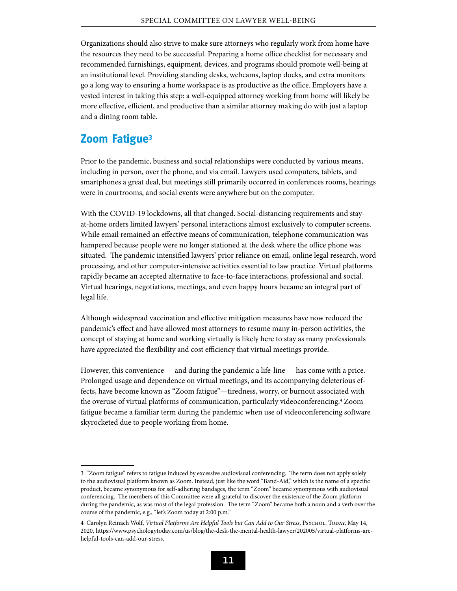Organizations should also strive to make sure attorneys who regularly work from home have the resources they need to be successful. Preparing a home office checklist for necessary and recommended furnishings, equipment, devices, and programs should promote well-being at an institutional level. Providing standing desks, webcams, laptop docks, and extra monitors go a long way to ensuring a home workspace is as productive as the office. Employers have a vested interest in taking this step: a well-equipped attorney working from home will likely be more effective, efficient, and productive than a similar attorney making do with just a laptop and a dining room table.

#### **Zoom Fatigue3**

Prior to the pandemic, business and social relationships were conducted by various means, including in person, over the phone, and via email. Lawyers used computers, tablets, and smartphones a great deal, but meetings still primarily occurred in conferences rooms, hearings were in courtrooms, and social events were anywhere but on the computer.

With the COVID-19 lockdowns, all that changed. Social-distancing requirements and stayat-home orders limited lawyers' personal interactions almost exclusively to computer screens. While email remained an effective means of communication, telephone communication was hampered because people were no longer stationed at the desk where the office phone was situated. The pandemic intensified lawyers' prior reliance on email, online legal research, word processing, and other computer-intensive activities essential to law practice. Virtual platforms rapidly became an accepted alternative to face-to-face interactions, professional and social. Virtual hearings, negotiations, meetings, and even happy hours became an integral part of legal life.

Although widespread vaccination and effective mitigation measures have now reduced the pandemic's effect and have allowed most attorneys to resume many in-person activities, the concept of staying at home and working virtually is likely here to stay as many professionals have appreciated the flexibility and cost efficiency that virtual meetings provide.

However, this convenience  $-$  and during the pandemic a life-line  $-$  has come with a price. Prolonged usage and dependence on virtual meetings, and its accompanying deleterious effects, have become known as "Zoom fatigue"—tiredness, worry, or burnout associated with the overuse of virtual platforms of communication, particularly videoconferencing.4 Zoom fatigue became a familiar term during the pandemic when use of videoconferencing software skyrocketed due to people working from home.

<sup>3 &</sup>quot;Zoom fatigue" refers to fatigue induced by excessive audiovisual conferencing. The term does not apply solely to the audiovisual platform known as Zoom. Instead, just like the word "Band-Aid," which is the name of a specific product, became synonymous for self-adhering bandages, the term "Zoom" became synonymous with audiovisual conferencing. The members of this Committee were all grateful to discover the existence of the Zoom platform during the pandemic, as was most of the legal profession. The term "Zoom" became both a noun and a verb over the course of the pandemic, e.g., "let's Zoom today at 2:00 p.m."

<sup>4</sup> Carolyn Reinach Wolf, *Virtual Platforms Are Helpful Tools but Can Add to Our Stress*, Psychol. Today, May 14, 2020, [https://www.psychologytoday.com/us/blog/the-desk-the-mental-health-lawyer/202005/virtual-platforms-are](https://www.psychologytoday.com/us/blog/the-desk-the-mental-health-lawyer/202005/virtual-platforms-are-helpful-tools-can-add-our-stress)[helpful-tools-can-add-our-stress](https://www.psychologytoday.com/us/blog/the-desk-the-mental-health-lawyer/202005/virtual-platforms-are-helpful-tools-can-add-our-stress).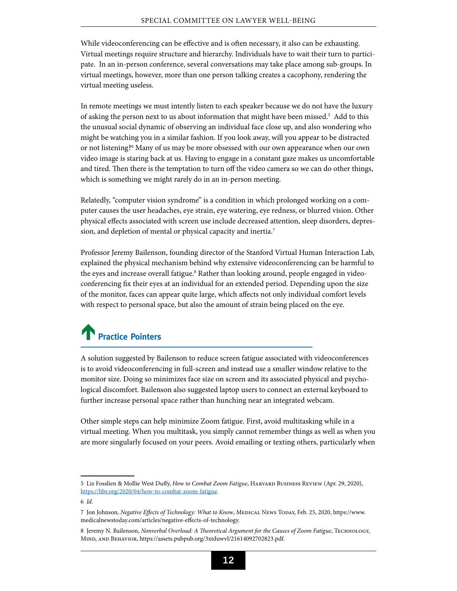While videoconferencing can be effective and is often necessary, it also can be exhausting. Virtual meetings require structure and hierarchy. Individuals have to wait their turn to participate. In an in-person conference, several conversations may take place among sub-groups. In virtual meetings, however, more than one person talking creates a cacophony, rendering the virtual meeting useless.

In remote meetings we must intently listen to each speaker because we do not have the luxury of asking the person next to us about information that might have been missed.<sup>5</sup> Add to this the unusual social dynamic of observing an individual face close up, and also wondering who might be watching you in a similar fashion. If you look away, will you appear to be distracted or not listening?<sup>6</sup> Many of us may be more obsessed with our own appearance when our own video image is staring back at us. Having to engage in a constant gaze makes us uncomfortable and tired. Then there is the temptation to turn off the video camera so we can do other things, which is something we might rarely do in an in-person meeting.

Relatedly, "computer vision syndrome" is a condition in which prolonged working on a computer causes the user headaches, eye strain, eye watering, eye redness, or blurred vision. Other physical effects associated with screen use include decreased attention, sleep disorders, depression, and depletion of mental or physical capacity and inertia.7

Professor Jeremy Bailenson, founding director of the Stanford Virtual Human Interaction Lab, explained the physical mechanism behind why extensive videoconferencing can be harmful to the eyes and increase overall fatigue.<sup>8</sup> Rather than looking around, people engaged in videoconferencing fix their eyes at an individual for an extended period. Depending upon the size of the monitor, faces can appear quite large, which affects not only individual comfort levels with respect to personal space, but also the amount of strain being placed on the eye.

## **Practice Pointers**

A solution suggested by Bailenson to reduce screen fatigue associated with videoconferences is to avoid videoconferencing in full-screen and instead use a smaller window relative to the monitor size. Doing so minimizes face size on screen and its associated physical and psychological discomfort. Bailenson also suggested laptop users to connect an external keyboard to further increase personal space rather than hunching near an integrated webcam.

Other simple steps can help minimize Zoom fatigue. First, avoid multitasking while in a virtual meeting. When you multitask, you simply cannot remember things as well as when you are more singularly focused on your peers. Avoid emailing or texting others, particularly when

<sup>5</sup> Liz Fosslien & Mollie West Duffy, *How to Combat Zoom Fatigue*, Harvard Business Review (Apr. 29, 2020), [https://hbr.org/2020/04/how-to-combat-zoom-fatigue.](https://hbr.org/2020/04/how-to-combat-zoom-fatigue)

<sup>6</sup> *Id*.

<sup>7</sup> Jon Johnson, *Negative Effects of Technology: What to Know*, Medical News Today, Feb. 25, 2020, https://www. medicalnewstoday.com/articles/negative-effects-of-technology.

<sup>8</sup> Jeremy N. Bailenson, *Nonverbal Overload: A Theoretical Argument for the Causes of Zoom Fatigue*, Technology, Mind, and Behavior, [https://assets.pubpub.org/3xtduwvl/21614092702823.pdf.](https://assets.pubpub.org/3xtduwvl/21614092702823.pdf)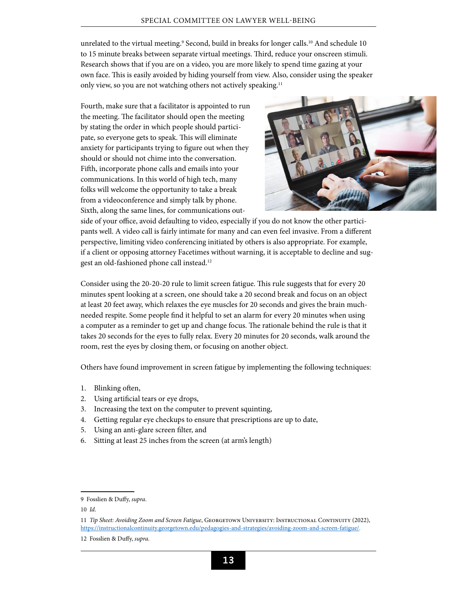unrelated to the virtual meeting.<sup>9</sup> Second, build in breaks for longer calls.<sup>10</sup> And schedule 10 to 15 minute breaks between separate virtual meetings. Third, reduce your onscreen stimuli. Research shows that if you are on a video, you are more likely to spend time gazing at your own face. This is easily avoided by hiding yourself from view. Also, consider using the speaker only view, so you are not watching others not actively speaking.<sup>11</sup>

Fourth, make sure that a facilitator is appointed to run the meeting. The facilitator should open the meeting by stating the order in which people should participate, so everyone gets to speak. This will eliminate anxiety for participants trying to figure out when they should or should not chime into the conversation. Fifth, incorporate phone calls and emails into your communications. In this world of high tech, many folks will welcome the opportunity to take a break from a videoconference and simply talk by phone. Sixth, along the same lines, for communications out-



side of your office, avoid defaulting to video, especially if you do not know the other participants well. A video call is fairly intimate for many and can even feel invasive. From a different perspective, limiting video conferencing initiated by others is also appropriate. For example, if a client or opposing attorney Facetimes without warning, it is acceptable to decline and suggest an old-fashioned phone call instead.12

Consider using the 20-20-20 rule to limit screen fatigue. This rule suggests that for every 20 minutes spent looking at a screen, one should take a 20 second break and focus on an object at least 20 feet away, which relaxes the eye muscles for 20 seconds and gives the brain muchneeded respite. Some people find it helpful to set an alarm for every 20 minutes when using a computer as a reminder to get up and change focus. The rationale behind the rule is that it takes 20 seconds for the eyes to fully relax. Every 20 minutes for 20 seconds, walk around the room, rest the eyes by closing them, or focusing on another object.

Others have found improvement in screen fatigue by implementing the following techniques:

- 1. Blinking often,
- 2. Using artificial tears or eye drops,
- 3. Increasing the text on the computer to prevent squinting,
- 4. Getting regular eye checkups to ensure that prescriptions are up to date,
- 5. Using an anti-glare screen filter, and
- 6. Sitting at least 25 inches from the screen (at arm's length)

<sup>9</sup> Fosslien & Duffy, *supra*.

<sup>10</sup> *Id*.

<sup>11</sup> *Tip Sheet: Avoiding Zoom and Screen Fatigue*, Georgetown University: Instructional Continuity (2022), <https://instructionalcontinuity.georgetown.edu/pedagogies-and-strategies/avoiding-zoom-and-screen-fatigue/>.

<sup>12</sup> Fosslien & Duffy, *supra.*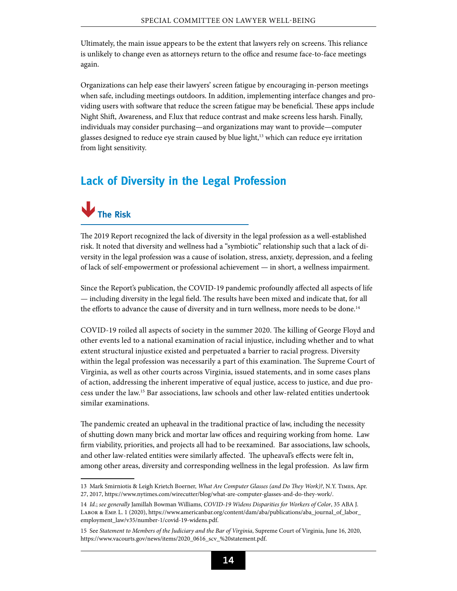Ultimately, the main issue appears to be the extent that lawyers rely on screens. This reliance is unlikely to change even as attorneys return to the office and resume face-to-face meetings again.

Organizations can help ease their lawyers' screen fatigue by encouraging in-person meetings when safe, including meetings outdoors. In addition, implementing interface changes and providing users with software that reduce the screen fatigue may be beneficial. These apps include Night Shift, Awareness, and F.lux that reduce contrast and make screens less harsh. Finally, individuals may consider purchasing—and organizations may want to provide—computer glasses designed to reduce eye strain caused by blue light,<sup>13</sup> which can reduce eye irritation from light sensitivity.

#### <span id="page-17-0"></span>**Lack of Diversity in the Legal Profession**



The 2019 Report recognized the lack of diversity in the legal profession as a well-established risk. It noted that diversity and wellness had a "symbiotic" relationship such that a lack of diversity in the legal profession was a cause of isolation, stress, anxiety, depression, and a feeling of lack of self-empowerment or professional achievement — in short, a wellness impairment.

Since the Report's publication, the COVID-19 pandemic profoundly affected all aspects of life — including diversity in the legal field. The results have been mixed and indicate that, for all the efforts to advance the cause of diversity and in turn wellness, more needs to be done.<sup>14</sup>

COVID-19 roiled all aspects of society in the summer 2020. The killing of George Floyd and other events led to a national examination of racial injustice, including whether and to what extent structural injustice existed and perpetuated a barrier to racial progress. Diversity within the legal profession was necessarily a part of this examination. The Supreme Court of Virginia, as well as other courts across Virginia, issued statements, and in some cases plans of action, addressing the inherent imperative of equal justice, access to justice, and due process under the law.15 Bar associations, law schools and other law-related entities undertook similar examinations.

The pandemic created an upheaval in the traditional practice of law, including the necessity of shutting down many brick and mortar law offices and requiring working from home. Law firm viability, priorities, and projects all had to be reexamined. Bar associations, law schools, and other law-related entities were similarly affected. The upheaval's effects were felt in, among other areas, diversity and corresponding wellness in the legal profession. As law firm

<sup>13</sup> Mark Smirniotis & Leigh Krietch Boerner, *What Are Computer Glasses (and Do They Work)?*, N.Y. Times, Apr. 27, 2017,<https://www.nytimes.com/wirecutter/blog/what-are-computer-glasses-and-do-they-work/>.

<sup>14</sup> *Id.*; *see generally* Jamillah Bowman Williams, *COVID-19 Widens Disparities for Workers of Color*, 35 ABA J. Labor & Emp. L. 1 (2020), [https://www.americanbar.org/content/dam/aba/publications/aba\\_journal\\_of\\_labor\\_](https://www.americanbar.org/content/dam/aba/publications/aba_journal_of_labor_employment_law/v35/number-1/covid-19-widens.pdf) [employment\\_law/v35/number-1/covid-19-widens.pdf](https://www.americanbar.org/content/dam/aba/publications/aba_journal_of_labor_employment_law/v35/number-1/covid-19-widens.pdf).

<sup>15</sup> See *Statement to Members of the Judiciary and the Bar of Virginia*, Supreme Court of Virginia, June 16, 2020, [https://www.vacourts.gov/news/items/2020\\_0616\\_scv\\_%20statement.pdf.](https://www.vacourts.gov/news/items/2020_0616_scv_%20statement.pdf)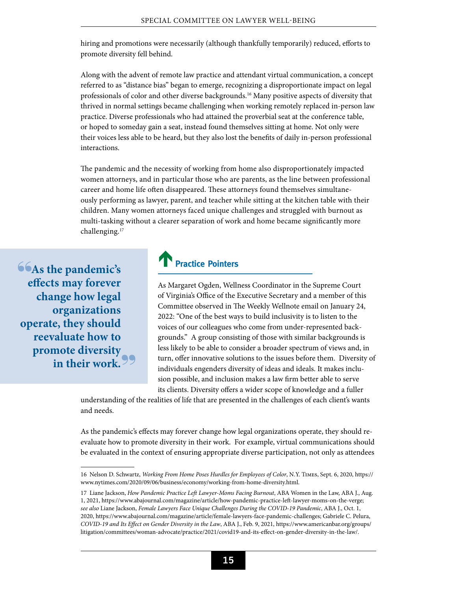hiring and promotions were necessarily (although thankfully temporarily) reduced, efforts to promote diversity fell behind.

Along with the advent of remote law practice and attendant virtual communication, a concept referred to as "distance bias" began to emerge, recognizing a disproportionate impact on legal professionals of color and other diverse backgrounds.16 Many positive aspects of diversity that thrived in normal settings became challenging when working remotely replaced in-person law practice. Diverse professionals who had attained the proverbial seat at the conference table, or hoped to someday gain a seat, instead found themselves sitting at home. Not only were their voices less able to be heard, but they also lost the benefits of daily in-person professional interactions.

The pandemic and the necessity of working from home also disproportionately impacted women attorneys, and in particular those who are parents, as the line between professional career and home life often disappeared. These attorneys found themselves simultaneously performing as lawyer, parent, and teacher while sitting at the kitchen table with their children. Many women attorneys faced unique challenges and struggled with burnout as multi-tasking without a clearer separation of work and home became significantly more challenging.17

**As the pandemic's effects may forever change how legal organizations operate, they should reevaluate how to promote diversity in their work.**

### **Practice Pointers**

As Margaret Ogden, Wellness Coordinator in the Supreme Court of Virginia's Office of the Executive Secretary and a member of this Committee observed in The Weekly Wellnote email on January 24, 2022: "One of the best ways to build inclusivity is to listen to the voices of our colleagues who come from under-represented backgrounds." A group consisting of those with similar backgrounds is less likely to be able to consider a broader spectrum of views and, in turn, offer innovative solutions to the issues before them. Diversity of individuals engenders diversity of ideas and ideals. It makes inclusion possible, and inclusion makes a law firm better able to serve its clients. Diversity offers a wider scope of knowledge and a fuller

understanding of the realities of life that are presented in the challenges of each client's wants and needs.

As the pandemic's effects may forever change how legal organizations operate, they should reevaluate how to promote diversity in their work. For example, virtual communications should be evaluated in the context of ensuring appropriate diverse participation, not only as attendees

<sup>16</sup> Nelson D. Schwartz, *Working From Home Poses Hurdles for Employees of Color*, N.Y. Times, Sept. 6, 2020, [https://](https://www.nytimes.com/2020/09/06/business/economy/working-from-home-diversity.html) [www.nytimes.com/2020/09/06/business/economy/working-from-home-diversity.html.](https://www.nytimes.com/2020/09/06/business/economy/working-from-home-diversity.html)

<sup>17</sup> Liane Jackson, *How Pandemic Practice Left Lawyer-Moms Facing Burnout*, ABA Women in the Law, ABA J., Aug. 1, 2021, [https://www.abajournal.com/magazine/article/how-pandemic-practice-left-lawyer-moms-on-the-verge;](https://www.abajournal.com/magazine/article/how-pandemic-practice-left-lawyer-moms-on-the-verge) *see also* Liane Jackson, *Female Lawyers Face Unique Challenges During the COVID-19 Pandemic*, ABA J., Oct. 1, 2020, [https://www.abajournal.com/magazine/article/female-lawyers-face-pandemic-challenges;](https://www.abajournal.com/magazine/article/female-lawyers-face-pandemic-challenges) Gabriele C. Pelura, *COVID-19 and Its Effect on Gender Diversity in the Law*, ABA J., Feb. 9, 2021, [https://www.americanbar.org/groups/](https://www.americanbar.org/groups/litigation/committees/woman-advocate/practice/2021/covid19-and-its-effect-on-gender-diversity-in-the-law/) [litigation/committees/woman-advocate/practice/2021/covid19-and-its-effect-on-gender-diversity-in-the-law/](https://www.americanbar.org/groups/litigation/committees/woman-advocate/practice/2021/covid19-and-its-effect-on-gender-diversity-in-the-law/).